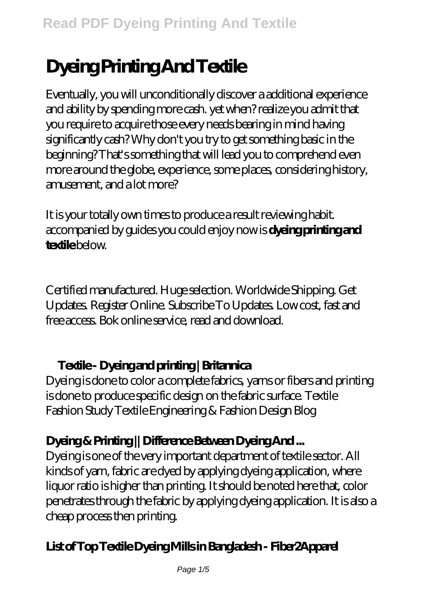# **Dyeing Printing And Textile**

Eventually, you will unconditionally discover a additional experience and ability by spending more cash. yet when? realize you admit that you require to acquire those every needs bearing in mind having significantly cash? Why don't you try to get something basic in the beginning? That's something that will lead you to comprehend even more around the globe, experience, some places, considering history, amusement, and a lot more?

It is your totally own times to produce a result reviewing habit. accompanied by guides you could enjoy now is **dyeing printing and textile** below.

Certified manufactured. Huge selection. Worldwide Shipping. Get Updates. Register Online. Subscribe To Updates. Low cost, fast and free access. Bok online service, read and download.

## **Textile - Dyeing and printing | Britannica**

Dyeing is done to color a complete fabrics, yarns or fibers and printing is done to produce specific design on the fabric surface. Textile Fashion Study Textile Engineering & Fashion Design Blog

# **Dyeing & Printing || Difference Between Dyeing And ...**

Dyeing is one of the very important department of textile sector. All kinds of yarn, fabric are dyed by applying dyeing application, where liquor ratio is higher than printing. It should be noted here that, color penetrates through the fabric by applying dyeing application. It is also a cheap process then printing.

# **List of Top Textile Dyeing Mills in Bangladesh - Fiber2Apparel**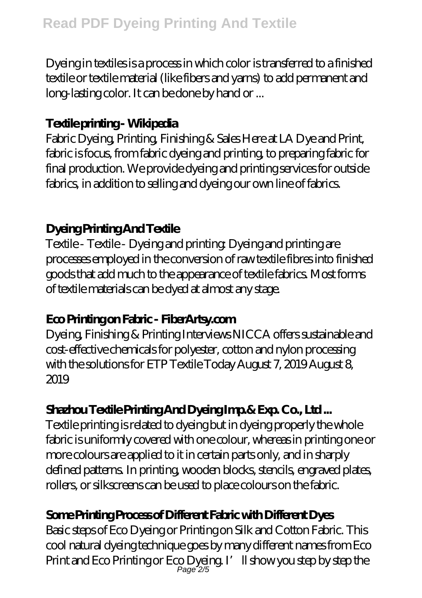Dyeing in textiles is a process in which color is transferred to a finished textile or textile material (like fibers and yarns) to add permanent and long-lasting color. It can be done by hand or ...

#### **Textile printing - Wikipedia**

Fabric Dyeing, Printing, Finishing & Sales Here at LA Dye and Print, fabric is focus, from fabric dyeing and printing, to preparing fabric for final production. We provide dyeing and printing services for outside fabrics, in addition to selling and dyeing our own line of fabrics.

#### **Dyeing Printing And Textile**

Textile - Textile - Dyeing and printing: Dyeing and printing are processes employed in the conversion of raw textile fibres into finished goods that add much to the appearance of textile fabrics. Most forms of textile materials can be dyed at almost any stage.

## **Eco Printing on Fabric - FiberArtsy.com**

Dyeing, Finishing & Printing Interviews NICCA offers sustainable and cost-effective chemicals for polyester, cotton and nylon processing with the solutions for ETP Textile Today August 7, 2019 August 8, 2019

# **Shazhou Textile Printing And Dyeing Imp.& Exp. Co., Ltd ...**

Textile printing is related to dyeing but in dyeing properly the whole fabric is uniformly covered with one colour, whereas in printing one or more colours are applied to it in certain parts only, and in sharply defined patterns. In printing, wooden blocks, stencils, engraved plates, rollers, or silkscreens can be used to place colours on the fabric.

## **Some Printing Process of Different Fabric with Different Dyes**

Basic steps of Eco Dyeing or Printing on Silk and Cotton Fabric. This cool natural dyeing technique goes by many different names from Eco Print and Eco Printing or Eco Dyeing. I'll show you step by step the Page 2/5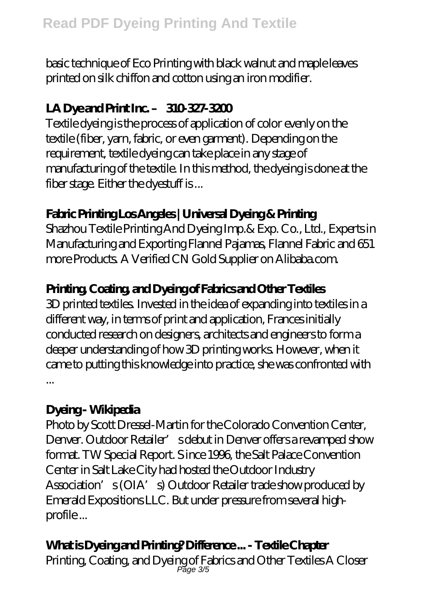basic technique of Eco Printing with black walnut and maple leaves printed on silk chiffon and cotton using an iron modifier.

## **LA Dye and Print Inc. – 310-327-3200**

Textile dyeing is the process of application of color evenly on the textile (fiber, yarn, fabric, or even garment). Depending on the requirement, textile dyeing can take place in any stage of manufacturing of the textile. In this method, the dyeing is done at the fiber stage. Either the dyestuff is ...

# **Fabric Printing Los Angeles | Universal Dyeing & Printing**

Shazhou Textile Printing And Dyeing Imp.& Exp. Co., Ltd., Experts in Manufacturing and Exporting Flannel Pajamas, Flannel Fabric and 651 more Products. A Verified CN Gold Supplier on Alibaba.com.

## **Printing, Coating, and Dyeing of Fabrics and Other Textiles**

3D printed textiles. Invested in the idea of expanding into textiles in a different way, in terms of print and application, Frances initially conducted research on designers, architects and engineers to form a deeper understanding of how 3D printing works. However, when it came to putting this knowledge into practice, she was confronted with ...

#### Dyeing - Wikipedia

Photo by Scott Dressel-Martin for the Colorado Convention Center, Denver. Outdoor Retailer' sdebut in Denver offers a revamped show format. TW Special Report. S ince 1996, the Salt Palace Convention Center in Salt Lake City had hosted the Outdoor Industry Association's (OIA's) Outdoor Retailer trade show produced by Emerald Expositions LLC. But under pressure from several highprofile ...

# **What is Dyeing and Printing? Difference ... - Textile Chapter**

Printing, Coating, and Dyeing of Fabrics and Other Textiles A Closer Page 3/5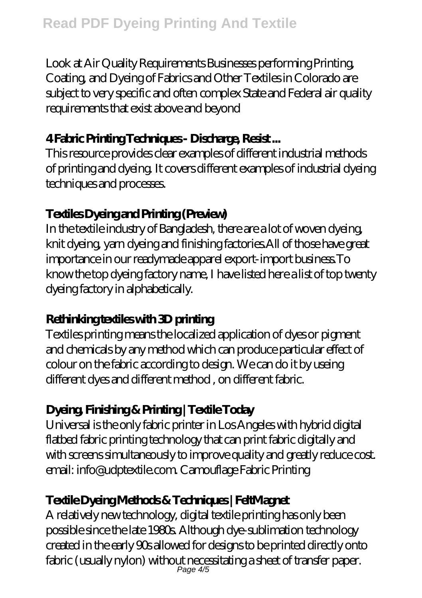Look at Air Quality Requirements Businesses performing Printing, Coating, and Dyeing of Fabrics and Other Textiles in Colorado are subject to very specific and often complex State and Federal air quality requirements that exist above and beyond

#### **4 Fabric Printing Techniques - Discharge, Resist ...**

This resource provides clear examples of different industrial methods of printing and dyeing. It covers different examples of industrial dyeing techniques and processes.

## **Textiles Dyeing and Printing (Preview)**

In the textile industry of Bangladesh, there are a lot of woven dyeing, knit dyeing, yarn dyeing and finishing factories.All of those have great importance in our readymade apparel export-import business.To know the top dyeing factory name, I have listed here a list of top twenty dyeing factory in alphabetically.

## **Rethinking textiles with 3D printing**

Textiles printing means the localized application of dyes or pigment and chemicals by any method which can produce particular effect of colour on the fabric according to design. We can do it by useing different dyes and different method , on different fabric.

# **Dyeing, Finishing & Printing | Textile Today**

Universal is the only fabric printer in Los Angeles with hybrid digital flatbed fabric printing technology that can print fabric digitally and with screens simultaneously to improve quality and greatly reduce cost. email: info@udptextile.com. Camouflage Fabric Printing

# **Textile Dyeing Methods & Techniques | FeltMagnet**

A relatively new technology, digital textile printing has only been possible since the late 1980s. Although dye-sublimation technology created in the early 90s allowed for designs to be printed directly onto fabric (usually nylon) without necessitating a sheet of transfer paper. Page 4/5